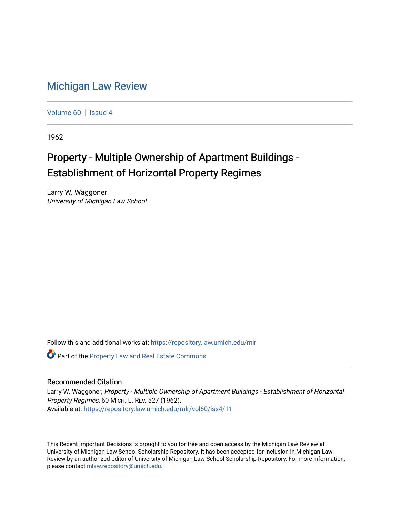## [Michigan Law Review](https://repository.law.umich.edu/mlr)

[Volume 60](https://repository.law.umich.edu/mlr/vol60) | [Issue 4](https://repository.law.umich.edu/mlr/vol60/iss4)

1962

## Property - Multiple Ownership of Apartment Buildings - Establishment of Horizontal Property Regimes

Larry W. Waggoner University of Michigan Law School

Follow this and additional works at: [https://repository.law.umich.edu/mlr](https://repository.law.umich.edu/mlr?utm_source=repository.law.umich.edu%2Fmlr%2Fvol60%2Fiss4%2F11&utm_medium=PDF&utm_campaign=PDFCoverPages) 

Part of the [Property Law and Real Estate Commons](http://network.bepress.com/hgg/discipline/897?utm_source=repository.law.umich.edu%2Fmlr%2Fvol60%2Fiss4%2F11&utm_medium=PDF&utm_campaign=PDFCoverPages) 

## Recommended Citation

Larry W. Waggoner, Property - Multiple Ownership of Apartment Buildings - Establishment of Horizontal Property Regimes, 60 MICH. L. REV. 527 (1962). Available at: [https://repository.law.umich.edu/mlr/vol60/iss4/11](https://repository.law.umich.edu/mlr/vol60/iss4/11?utm_source=repository.law.umich.edu%2Fmlr%2Fvol60%2Fiss4%2F11&utm_medium=PDF&utm_campaign=PDFCoverPages) 

This Recent Important Decisions is brought to you for free and open access by the Michigan Law Review at University of Michigan Law School Scholarship Repository. It has been accepted for inclusion in Michigan Law Review by an authorized editor of University of Michigan Law School Scholarship Repository. For more information, please contact [mlaw.repository@umich.edu.](mailto:mlaw.repository@umich.edu)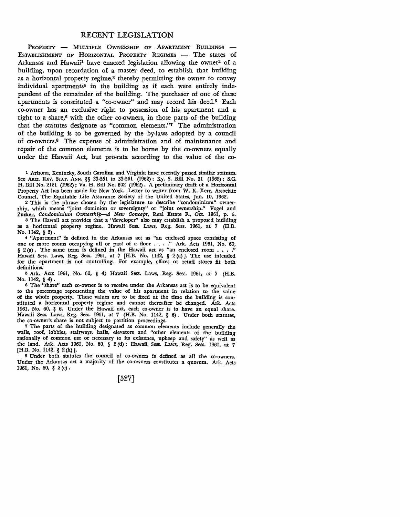## RECENT LEGISLATION

PROPERTY - MULTIPLE OWNERSHIP OF APARTMENT BUILDINGS -ESTABLISHMENT OF HORIZONTAL PROPERTY REGIMES - The states of Arkansas and Hawaii<sup>1</sup> have enacted legislation allowing the owner<sup>2</sup> of a building, upon recordation of a master deed, to establish that building as a horizontal property regime,3 thereby permitting the owner to convey individual apartments<sup>4</sup> in the building as if each were entirely independent of the remainder of the building. The purchaser of one of these apartments is constituted a "co-owner" and may record his deed.5 Each co-owner has an exclusive right to possession of his apartment and a right to a share, $6$  with the other co-owners, in those parts of the building that the statutes designate as "common elements."7 The administration of the building is to be governed by the by-laws adopted by a council of co-owners.8 The expense of administration and of maintenance and repair of the common elements is to be borne by the co-owners equally under the Hawaii Act, but pro-rata according to the value of the co-

1 Arizona, Kentucky, South Carolina and Virginia have recently passed similar statutes. See Ariz. REV. STAT. ANN. §§ 33-551 to 33-561 (1962); Ky. S. Bill No. 31 (1962); S.C. H. Bill No. 2121 (1962) ; Va. H. Bill No. 602 (1962) • A preliminary draft of a Horizontal Property Act has been made for New York. Letter to writer from W. K. Kerr, Associate Counsel, The Equitable Life Assurance Society of the United States, Jan. 10, 1962.

2 This is the phrase chosen by the legislature to describe "condominium" ownership, which means "joint dominion or sovereignty" or "joint ownership." Vogel and Zucker, *Condominium Ownership-A New Concept,* Real Estate F., Oct. 1961, p. 6. <sup>3</sup>The Hawaii act provides that a "developer" also may establish a proposed building

as a horizontal property regime. Hawaii Sess. Laws, Reg. Sess. 1961, at 7 (H.B. No. 1142, § 3).

¼ "Apartment" is defined in the Arkansas act as "an enclosed space consisting of one or more rooms occupying all or part of a floor . . . ." Ark. Acts 1961, No. 60,  $\S$  2(a). The same term is defined in the Hawaii act as "an enclosed room  $\ldots$ ." Hawaii Sess. Laws, Reg. Sess. 1961, at 7 [H.B. No. 1142, § 2 (a)]. The use intended for the apartment is not controlling. For example, offices or retail stores fit both definitions.

<sup>G</sup>Ark. Acts 1961, No. 60, § 4; Hawaii Sess. Laws, Reg. Sess. 1961, at 7 (H.B. No. ll42, § 4).

<sup>6</sup>The "share" each co-owner is to receive under the Arkansas act is to be equivalent to the percentage representing the value of his apartment in relation to the value of the whole property. These values are to be fixed at the time the building is constituted a horizontal property regime and cannot thereafter be changed. Ark. Acts 1961, No. 60, § 6. Under the Hawaii act, each co•owner is to have an equal share. Hawaii Sess. Laws, Reg. Sess. 1961, at 7 (H.B. No. II42, § 6). Under both statutes, the co-owner's share is not subject to partition proceedings.

7 The parts of the building designated as common elements include generally the walls, roof, lobbies, stairways, halls, elevators and "other elements of the building rationally of common use or necessary to its existence, upkeep and safety" as well as the land. Ark. Acts 1961, No. 60, § 2 (d) ; Hawaii Sess. Laws, Reg. Sess. 1961, at 7 [H.B. No. 1142, § 2(h)].

s Under both statutes the council of co-owners is defined as all the co-owners. Under the Arkansas act a majority of the co-owners constitutes a quorum. Ark. Acts 1961, No. 60, § 2 (c) •

[527]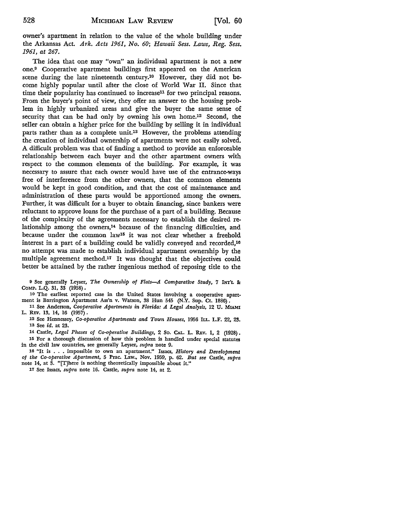owner's apartment in relation to the value of the whole building under the Arkansas Act. *Ark. Acts 1961, No. 60; Hawaii Sess. Laws, Reg. Sess. 1961, at 267.* 

The idea that one may "own" an individual apartment is not a new one.9 Cooperative apartment buildings first appeared on the American scene during the late nineteenth century.10 However, they did not become highly popular until after the close of World War II. Since that time their popularity has continued to increase<sup>11</sup> for two principal reasons. From the buyer's point of view, they offer an answer to the housing problem in highly urbanized areas and give the buyer the same sense of security that can be had only by owning his own home.12 Second, the seller can obtain a higher price for the building by selling it in individual parts rather than as a complete unit.<sup>13</sup> However, the problems attending the creation of individual ownership of apartments were not easily solved. A difficult problem was that of finding a method to provide an enforceable relationship between each buyer and the other apartment owners with respect to the common elements of the building. For example, it was necessary to assure that each owner would have use of the entrance-ways free of interference from the other owners, that the common elements would be kept in good condition, and that the cost of maintenance and administration of these parts would be apportioned among the owners. Further, it was difficult for a buyer to obtain financing, since bankers were reluctant to approve loans for the purchase of a part of a building. Because of the complexity of the agreements necessary to establish the desired relationship among the owners, $14$  because of the financing difficulties, and because under the common law15 it was not clear whether a freehold interest in a part of a building could be validly conveyed and recorded,16 no attempt was made to establish individual apartment ownership by the multiple agreement method.17 It was thought that the objectives could better be attained by the rather ingenious method of reposing title to the

<sup>9</sup>See generally Leyser, *The Ownership of Flats-A Comparative Study,* 7 INT'L *Be*  COMP. L.Q. 31, 33 (1958) •

10 The earliest reported case in the United States involving a cooperative apartment is Barrington Apartment Ass'n v. Watson, 38 Hun 545 (N.Y. Sup. Ct. 1886).

11 See Anderson, *Cooperative Apartments in Florida: A Legal Analysis,* 12 U. MIAMI L. REv. 13, 14, 16 (1957) •

12 See Hennessey, *Co-operative Apartments and Town Houses,* 1956 ILL. L.F. 22, 23. 13 See *id.* at 23.

14 Castle, *Legal Phases of Co-operative Buildings,* 2 So. CAL. L. REv. 1, 2 (1928) • 15 For a thorough discussion of how this problem is handled under special statutes in the civil law countries, see generally Leyser, *supra* note 9.

16 "It is • . • impossible to own an apartment." Issacs, *History and Development of the Co-operative Apartment,* 5 Prac. Law., Nov. 1959, p. 62. *But see* Castle, *supra*  note 14, at 3. "[T]here is nothing theoretically impossible about it."

17 See Issacs, *supra* note 16. Castle, *supra* note 14, at 2.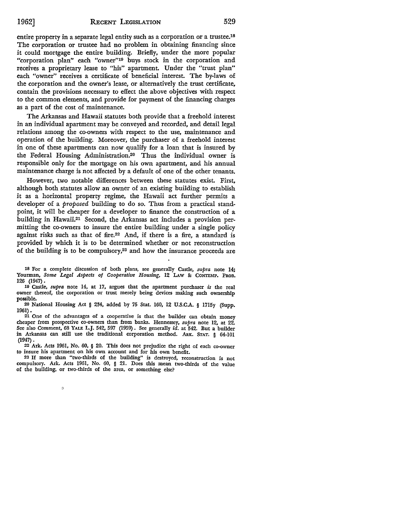entire property in a separate legal entity such as a corporation or a trustee.18 The corporation or trustee had no problem in obtaining financing since it could mortgage the entire building. Briefly, under the more popular "corporation plan" each "owner"19 buys stock in the corporation and receives a proprietary lease to "his" apartment. Under the "trust plan" each "owner" receives a certificate of beneficial interest. The by-laws of the corporation and the owner's lease, or alternatively the trust certificate, contain the provisions necessary to effect the above objectives with respect to the common elements, and provide for payment of the financing charges as a part of the cost of maintenance.

The Arkansas and Hawaii statutes both provide that a freehold interest in an individual apartment may be conveyed and recorded, and detail legal relations among the co-owners with respect to the use, maintenance and operation of the building. Moreover, the purchaser of a freehold interest in one of these apartments can now qualify for a loan that is insured by the Federal Housing Administration.20 Thus the individual owner is responsible only for the mortgage on his own apartment, and his annual maintenance charge is not affected by a default of one of the other tenants.

However, two notable differences between these statutes exist. First, although both statutes allow an owner of an existing building to establish it as a horizontal property regime, the Hawaii act further permits a developer of a *proposed* building to do so. Thus from a practical standpoint, it will be cheaper for a developer to finance the construction of a building in Hawaii.21 Second, the Arkansas act includes a provision permitting the co-owners to insure the entire building under a single policy against risks such as that of fire.<sup>22</sup> And, if there is a fire, a standard is provided by which it is to be determined whether or not reconstruction of the building is to be compulsory,23 and how the insurance proceeds are

18 For a complete discussion of both plans, see generally Castle, *supra* note 14; Yourman, Some Legal Aspects of Cooperative Housing, 12 LAW & CONTEMP. PROB. 126 (1947).

10 Castle, *supra* note 14, at 17, argues that the apartment purchaser *is* the real owner thereof, the corporation or trust merely being devices making such ownership possible.

20 National Housing Act § 234, added by 75 Stat. 160, 12 U.S.C.A. § 1715y (Supp. 1961).

21 One of the advantages of a cooperative is that the builder can obtain money cheaper from prospective co-owners than from banks. Hennessey, *supra* note 12, at 22. See also Comment, 68 YALE L.J. 542, 597 (1959). See generally *id.* at 542. But a builder in Arkansas can still use the traditional corporation method. ARK. STAT. § 64-101 (1947).

22 Ark. Acts 1961, No. 60, § 20. This does not prejudice the right of each co-owner to insure his apartment on his own account and for his own benefit.

23 If more than "two-thirds of the building" is destroyed, reconstruction is not compulsory. Ark. Acts 1961, No. 60, § 21. Does this mean two-thirds of the value of the building, or two-thirds of the area, or something else?

 $\circ$